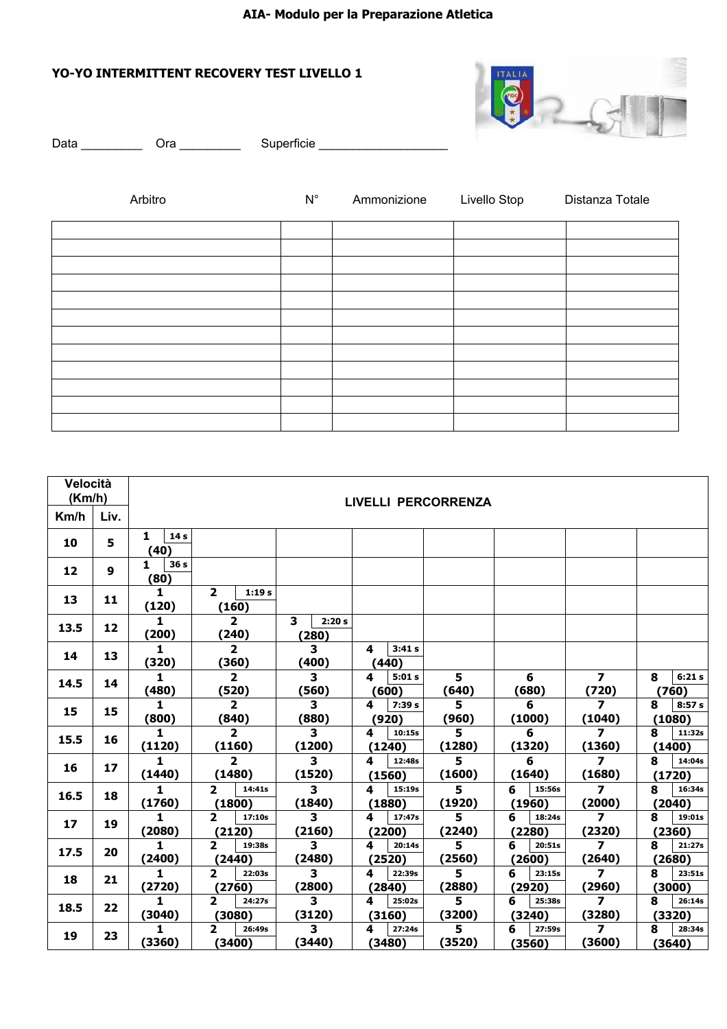## **AIA- Modulo per la Preparazione Atletica**

## **YO-YO INTERMITTENT RECOVERY TEST LIVELLO 1**



| Data _________<br>Ora $\_\_\_\_\_\_\_\_\$ |  |                    | Superficie _______________________ |              |                 |  |
|-------------------------------------------|--|--------------------|------------------------------------|--------------|-----------------|--|
| Arbitro                                   |  | $\mathsf{N}^\circ$ | Ammonizione                        | Livello Stop | Distanza Totale |  |
|                                           |  |                    |                                    |              |                 |  |
|                                           |  |                    |                                    |              |                 |  |
|                                           |  |                    |                                    |              |                 |  |
|                                           |  |                    |                                    |              |                 |  |
|                                           |  |                    |                                    |              |                 |  |
|                                           |  |                    |                                    |              |                 |  |
|                                           |  |                    |                                    |              |                 |  |
|                                           |  |                    |                                    |              |                 |  |
|                                           |  |                    |                                    |              |                 |  |
|                                           |  |                    |                                    |              |                 |  |
|                                           |  |                    |                                    |              |                 |  |
|                                           |  |                    |                                    |              |                 |  |

| Velocità<br>(Km/h) |              | LIVELLI PERCORRENZA          |                                    |                                   |                       |             |                       |                                   |                       |  |  |  |
|--------------------|--------------|------------------------------|------------------------------------|-----------------------------------|-----------------------|-------------|-----------------------|-----------------------------------|-----------------------|--|--|--|
| Km/h               | Liv.         |                              |                                    |                                   |                       |             |                       |                                   |                       |  |  |  |
| 10                 | 5            | 1<br>14 s<br>(40)            |                                    |                                   |                       |             |                       |                                   |                       |  |  |  |
| 12                 | $\mathbf{9}$ | 1<br>36 <sub>s</sub><br>(80) |                                    |                                   |                       |             |                       |                                   |                       |  |  |  |
| 13                 | 11           | $\mathbf{1}$<br>(120)        | $\mathbf{2}$<br>1:19s<br>(160)     |                                   |                       |             |                       |                                   |                       |  |  |  |
| 13.5               | 12           | 1<br>(200)                   | $\overline{2}$<br>(240)            | 3<br>2:20s<br>(280)               |                       |             |                       |                                   |                       |  |  |  |
| 14                 | 13           | $\mathbf{1}$<br>(320)        | $\overline{2}$<br>(360)            | 3<br>(400)                        | 3:41s<br>4<br>(440)   |             |                       |                                   |                       |  |  |  |
| 14.5               | 14           | 1<br>(480)                   | $\overline{2}$<br>(520)            | 3<br>(560)                        | 4<br>5:01s<br>(600)   | 5<br>(640)  | 6<br>(680)            | $\overline{ }$<br>(720)           | 8<br>6:21s<br>(760)   |  |  |  |
| 15                 | 15           | $\mathbf{1}$<br>(800)        | $\overline{2}$<br>(840)            | 3<br>(880)                        | 4<br>7:39 s<br>(920)  | 5<br>(960)  | 6<br>(1000)           | $\overline{z}$<br>(1040)          | 8<br>8:57s<br>(1080)  |  |  |  |
| 15.5               | 16           | $\mathbf{1}$<br>(1120)       | $\overline{2}$<br>(1160)           | 3<br>(1200)                       | 4<br>10:15s<br>(1240) | 5<br>(1280) | 6<br>(1320)           | $\overline{ }$<br>(1360)          | 8<br>11:32s<br>(1400) |  |  |  |
| 16                 | 17           | 1<br>(1440)                  | $\overline{2}$<br>(1480)           | 3<br>(1520)                       | 4<br>12:48s<br>(1560) | 5<br>(1600) | 6<br>(1640)           | $\overline{ }$<br>(1680)          | 8<br>14:04s<br>(1720) |  |  |  |
| 16.5               | 18           | 1<br>(1760)                  | $\mathbf{2}$<br>14:41s<br>(1800)   | $\overline{\mathbf{3}}$<br>(1840) | 15:19s<br>4<br>(1880) | 5<br>(1920) | 15:56s<br>6<br>(1960) | $\overline{7}$<br>(2000)          | 8<br>16:34s<br>(2040) |  |  |  |
| 17                 | 19           | 1<br>(2080)                  | $\overline{2}$<br>17:10s<br>(2120) | 3<br>(2160)                       | 4<br>17:47s<br>(2200) | 5<br>(2240) | 6<br>18:24s<br>(2280) | $\overline{\mathbf{z}}$<br>(2320) | 8<br>19:01s<br>(2360) |  |  |  |
| 17.5               | 20           | 1.<br>(2400)                 | 2<br>19:38s<br>(2440)              | 3<br>(2480)                       | 20:14s<br>4<br>(2520) | 5<br>(2560) | 6<br>20:51s<br>(2600) | $\overline{ }$<br>(2640)          | 21:27s<br>8<br>(2680) |  |  |  |
| 18                 | 21           | 1.<br>(2720)                 | $\overline{2}$<br>22:03s<br>(2760) | $\overline{\mathbf{3}}$<br>(2800) | 22:39s<br>4<br>(2840) | 5<br>(2880) | 6<br>23:15s<br>(2920) | $\overline{7}$<br>(2960)          | 8<br>23:51s<br>(3000) |  |  |  |
| 18.5               | 22           | 1<br>(3040)                  | $\mathbf{2}$<br>24:27s<br>3080)    | 3<br>(3120)                       | 4<br>25:02s<br>(3160) | 5<br>(3200) | 6<br>25:38s<br>(3240) | $\overline{7}$<br>(3280)          | 8<br>26:14s<br>(3320) |  |  |  |
| 19                 | 23           | 1<br>(3360)                  | $\mathbf{z}$<br>26:49s<br>3400)    | 3<br>(3440)                       | 27:24s<br>4<br>(3480) | 5<br>(3520) | 6<br>27:59s<br>(3560) | $\overline{ }$<br>(3600)          | 28:34s<br>8<br>(3640) |  |  |  |